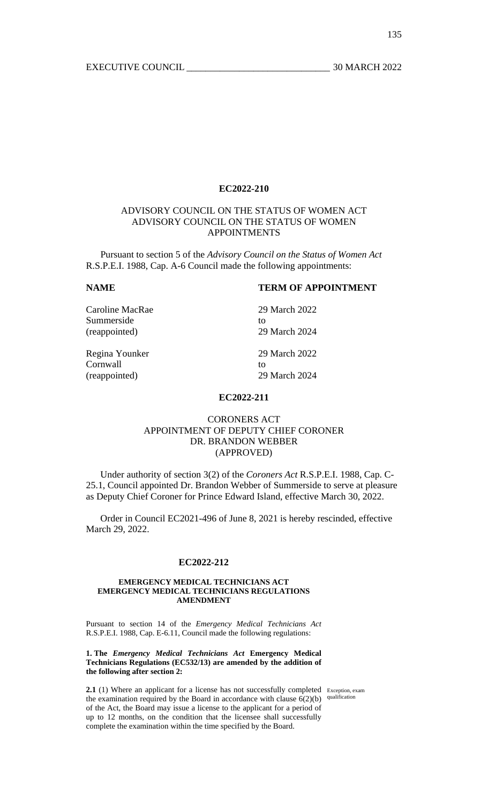# ADVISORY COUNCIL ON THE STATUS OF WOMEN ACT ADVISORY COUNCIL ON THE STATUS OF WOMEN APPOINTMENTS

 Pursuant to section 5 of the *Advisory Council on the Status of Women Act* R.S.P.E.I. 1988, Cap. A-6 Council made the following appointments:

# **NAME TERM OF APPOINTMENT**

| Caroline MacRae | 29 March 2022 |
|-----------------|---------------|
| Summerside      | to            |
| (reappointed)   | 29 March 2024 |
| Regina Younker  | 29 March 2022 |
| Cornwall        | tΩ            |
| (reappointed)   | 29 March 2024 |

## **EC2022-211**

# CORONERS ACT APPOINTMENT OF DEPUTY CHIEF CORONER DR. BRANDON WEBBER (APPROVED)

 Under authority of section 3(2) of the *Coroners Act* R.S.P.E.I. 1988, Cap. C-25.1, Council appointed Dr. Brandon Webber of Summerside to serve at pleasure as Deputy Chief Coroner for Prince Edward Island, effective March 30, 2022.

 Order in Council EC2021-496 of June 8, 2021 is hereby rescinded, effective March 29, 2022.

#### **EC2022-212**

#### **EMERGENCY MEDICAL TECHNICIANS ACT EMERGENCY MEDICAL TECHNICIANS REGULATIONS AMENDMENT**

Pursuant to section 14 of the *Emergency Medical Technicians Act*  R.S.P.E.I. 1988, Cap. E-6.11, Council made the following regulations:

### **1. The** *Emergency Medical Technicians Act* **Emergency Medical Technicians Regulations (EC532/13) are amended by the addition of the following after section 2:**

2.1 (1) Where an applicant for a license has not successfully completed Exception, exam the examination required by the Board in accordance with clause  $6(2)(b)$  qualification of the Act, the Board may issue a license to the applicant for a period of up to 12 months, on the condition that the licensee shall successfully complete the examination within the time specified by the Board.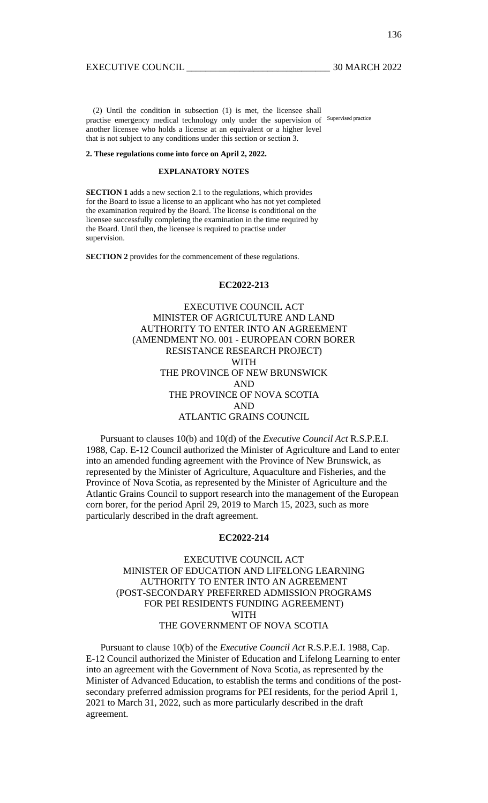(2) Until the condition in subsection (1) is met, the licensee shall practise emergency medical technology only under the supervision of Supervised practice another licensee who holds a license at an equivalent or a higher level that is not subject to any conditions under this section or section 3.

#### **2. These regulations come into force on April 2, 2022.**

## **EXPLANATORY NOTES**

**SECTION 1** adds a new section 2.1 to the regulations, which provides for the Board to issue a license to an applicant who has not yet completed the examination required by the Board. The license is conditional on the licensee successfully completing the examination in the time required by the Board. Until then, the licensee is required to practise under supervision.

**SECTION 2** provides for the commencement of these regulations.

## **EC2022-213**

EXECUTIVE COUNCIL ACT MINISTER OF AGRICULTURE AND LAND AUTHORITY TO ENTER INTO AN AGREEMENT (AMENDMENT NO. 001 - EUROPEAN CORN BORER RESISTANCE RESEARCH PROJECT) WITH THE PROVINCE OF NEW BRUNSWICK AND THE PROVINCE OF NOVA SCOTIA AND ATLANTIC GRAINS COUNCIL

 Pursuant to clauses 10(b) and 10(d) of the *Executive Council Act* R.S.P.E.I. 1988, Cap. E-12 Council authorized the Minister of Agriculture and Land to enter into an amended funding agreement with the Province of New Brunswick, as represented by the Minister of Agriculture, Aquaculture and Fisheries, and the Province of Nova Scotia, as represented by the Minister of Agriculture and the Atlantic Grains Council to support research into the management of the European corn borer, for the period April 29, 2019 to March 15, 2023, such as more particularly described in the draft agreement.

## **EC2022-214**

EXECUTIVE COUNCIL ACT MINISTER OF EDUCATION AND LIFELONG LEARNING AUTHORITY TO ENTER INTO AN AGREEMENT (POST-SECONDARY PREFERRED ADMISSION PROGRAMS FOR PEI RESIDENTS FUNDING AGREEMENT) WITH THE GOVERNMENT OF NOVA SCOTIA

 Pursuant to clause 10(b) of the *Executive Council Act* R.S.P.E.I. 1988, Cap. E-12 Council authorized the Minister of Education and Lifelong Learning to enter into an agreement with the Government of Nova Scotia, as represented by the Minister of Advanced Education, to establish the terms and conditions of the postsecondary preferred admission programs for PEI residents, for the period April 1, 2021 to March 31, 2022, such as more particularly described in the draft agreement.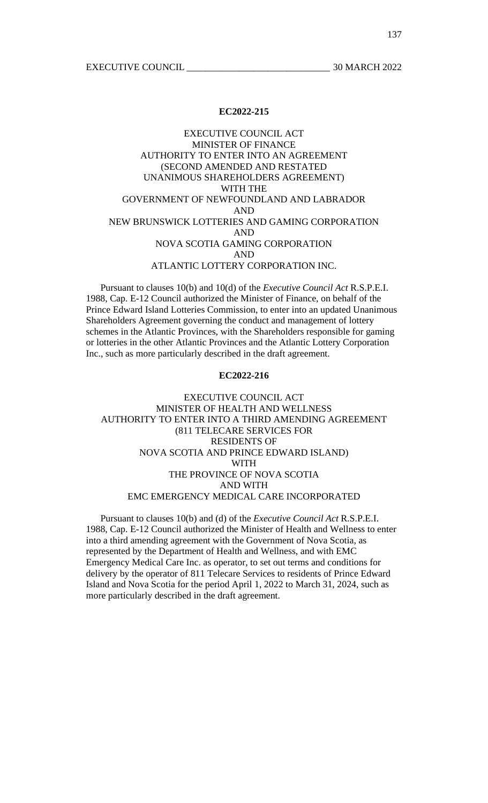# EXECUTIVE COUNCIL ACT MINISTER OF FINANCE AUTHORITY TO ENTER INTO AN AGREEMENT (SECOND AMENDED AND RESTATED UNANIMOUS SHAREHOLDERS AGREEMENT) WITH THE GOVERNMENT OF NEWFOUNDLAND AND LABRADOR AND NEW BRUNSWICK LOTTERIES AND GAMING CORPORATION AND NOVA SCOTIA GAMING CORPORATION AND ATLANTIC LOTTERY CORPORATION INC.

 Pursuant to clauses 10(b) and 10(d) of the *Executive Council Act* R.S.P.E.I. 1988, Cap. E-12 Council authorized the Minister of Finance, on behalf of the Prince Edward Island Lotteries Commission, to enter into an updated Unanimous Shareholders Agreement governing the conduct and management of lottery schemes in the Atlantic Provinces, with the Shareholders responsible for gaming or lotteries in the other Atlantic Provinces and the Atlantic Lottery Corporation Inc., such as more particularly described in the draft agreement.

## **EC2022-216**

# EXECUTIVE COUNCIL ACT MINISTER OF HEALTH AND WELLNESS AUTHORITY TO ENTER INTO A THIRD AMENDING AGREEMENT (811 TELECARE SERVICES FOR RESIDENTS OF NOVA SCOTIA AND PRINCE EDWARD ISLAND) WITH THE PROVINCE OF NOVA SCOTIA AND WITH EMC EMERGENCY MEDICAL CARE INCORPORATED

 Pursuant to clauses 10(b) and (d) of the *Executive Council Act* R.S.P.E.I. 1988, Cap. E-12 Council authorized the Minister of Health and Wellness to enter into a third amending agreement with the Government of Nova Scotia, as represented by the Department of Health and Wellness, and with EMC Emergency Medical Care Inc. as operator, to set out terms and conditions for delivery by the operator of 811 Telecare Services to residents of Prince Edward Island and Nova Scotia for the period April 1, 2022 to March 31, 2024, such as more particularly described in the draft agreement.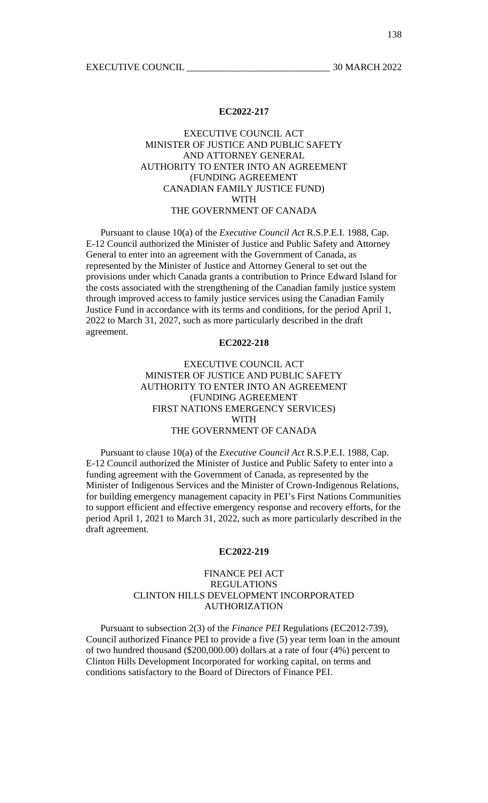# EXECUTIVE COUNCIL ACT MINISTER OF JUSTICE AND PUBLIC SAFETY AND ATTORNEY GENERAL AUTHORITY TO ENTER INTO AN AGREEMENT (FUNDING AGREEMENT CANADIAN FAMILY JUSTICE FUND) WITH THE GOVERNMENT OF CANADA

 Pursuant to clause 10(a) of the *Executive Council Act* R.S.P.E.I. 1988, Cap. E-12 Council authorized the Minister of Justice and Public Safety and Attorney General to enter into an agreement with the Government of Canada, as represented by the Minister of Justice and Attorney General to set out the provisions under which Canada grants a contribution to Prince Edward Island for the costs associated with the strengthening of the Canadian family justice system through improved access to family justice services using the Canadian Family Justice Fund in accordance with its terms and conditions, for the period April 1, 2022 to March 31, 2027, such as more particularly described in the draft agreement.

## **EC2022-218**

# EXECUTIVE COUNCIL ACT MINISTER OF JUSTICE AND PUBLIC SAFETY AUTHORITY TO ENTER INTO AN AGREEMENT (FUNDING AGREEMENT FIRST NATIONS EMERGENCY SERVICES) WITH THE GOVERNMENT OF CANADA

 Pursuant to clause 10(a) of the *Executive Council Act* R.S.P.E.I. 1988, Cap. E-12 Council authorized the Minister of Justice and Public Safety to enter into a funding agreement with the Government of Canada, as represented by the Minister of Indigenous Services and the Minister of Crown-Indigenous Relations, for building emergency management capacity in PEI's First Nations Communities to support efficient and effective emergency response and recovery efforts, for the period April 1, 2021 to March 31, 2022, such as more particularly described in the draft agreement.

#### **EC2022-219**

# FINANCE PEI ACT REGULATIONS CLINTON HILLS DEVELOPMENT INCORPORATED AUTHORIZATION

 Pursuant to subsection 2(3) of the *Finance PEI* Regulations (EC2012-739), Council authorized Finance PEI to provide a five (5) year term loan in the amount of two hundred thousand (\$200,000.00) dollars at a rate of four (4%) percent to Clinton Hills Development Incorporated for working capital, on terms and conditions satisfactory to the Board of Directors of Finance PEI.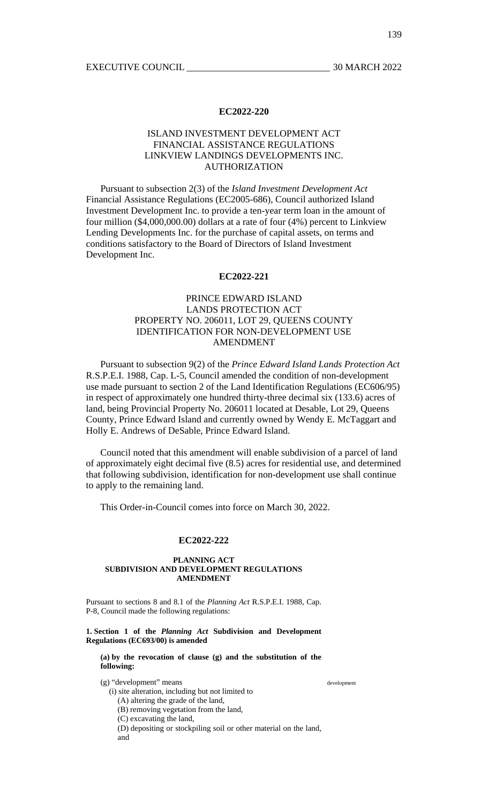# ISLAND INVESTMENT DEVELOPMENT ACT FINANCIAL ASSISTANCE REGULATIONS LINKVIEW LANDINGS DEVELOPMENTS INC. AUTHORIZATION

 Pursuant to subsection 2(3) of the *Island Investment Development Act* Financial Assistance Regulations (EC2005-686), Council authorized Island Investment Development Inc. to provide a ten-year term loan in the amount of four million (\$4,000,000.00) dollars at a rate of four (4%) percent to Linkview Lending Developments Inc. for the purchase of capital assets, on terms and conditions satisfactory to the Board of Directors of Island Investment Development Inc.

## **EC2022-221**

# PRINCE EDWARD ISLAND LANDS PROTECTION ACT PROPERTY NO. 206011, LOT 29, QUEENS COUNTY IDENTIFICATION FOR NON-DEVELOPMENT USE AMENDMENT

 Pursuant to subsection 9(2) of the *Prince Edward Island Lands Protection Act* R.S.P.E.I. 1988, Cap. L-5, Council amended the condition of non-development use made pursuant to section 2 of the Land Identification Regulations (EC606/95) in respect of approximately one hundred thirty-three decimal six (133.6) acres of land, being Provincial Property No. 206011 located at Desable, Lot 29, Queens County, Prince Edward Island and currently owned by Wendy E. McTaggart and Holly E. Andrews of DeSable, Prince Edward Island.

 Council noted that this amendment will enable subdivision of a parcel of land of approximately eight decimal five (8.5) acres for residential use, and determined that following subdivision, identification for non-development use shall continue to apply to the remaining land.

This Order-in-Council comes into force on March 30, 2022.

#### **EC2022-222**

#### **PLANNING ACT SUBDIVISION AND DEVELOPMENT REGULATIONS AMENDMENT**

Pursuant to sections 8 and 8.1 of the *Planning Act* R.S.P.E.I. 1988, Cap. P-8, Council made the following regulations:

**1. Section 1 of the** *Planning Act* **Subdivision and Development Regulations (EC693/00) is amended** 

**(a) by the revocation of clause (g) and the substitution of the following:** 

(g) "development" means

(i) site alteration, including but not limited to

(A) altering the grade of the land,

(B) removing vegetation from the land,

(C) excavating the land,

(D) depositing or stockpiling soil or other material on the land, and

development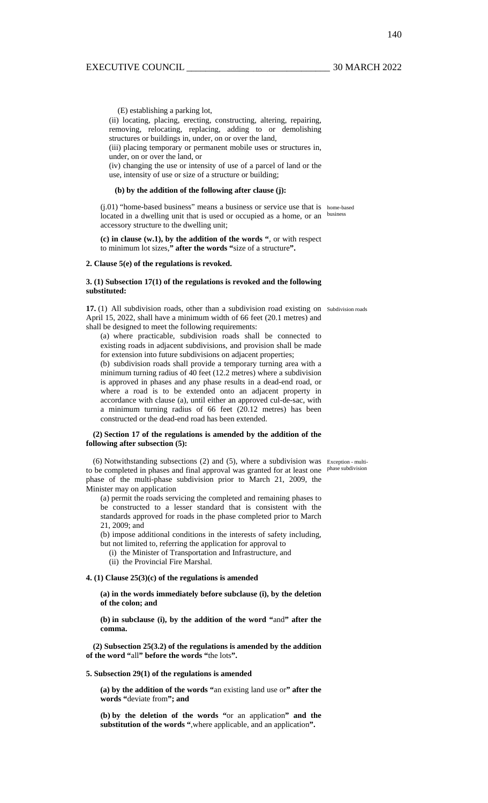140

(E) establishing a parking lot,

(ii) locating, placing, erecting, constructing, altering, repairing, removing, relocating, replacing, adding to or demolishing structures or buildings in, under, on or over the land,

(iii) placing temporary or permanent mobile uses or structures in, under, on or over the land, or

(iv) changing the use or intensity of use of a parcel of land or the use, intensity of use or size of a structure or building;

#### **(b) by the addition of the following after clause (j):**

(j.01) "home-based business" means a business or service use that is home-based located in a dwelling unit that is used or occupied as a home, or an business accessory structure to the dwelling unit;

**(c) in clause (w.1), by the addition of the words "**, or with respect to minimum lot sizes,**" after the words "**size of a structure**".** 

#### **2. Clause 5(e) of the regulations is revoked.**

### **3. (1) Subsection 17(1) of the regulations is revoked and the following substituted:**

17. (1) All subdivision roads, other than a subdivision road existing on subdivision roads April 15, 2022, shall have a minimum width of 66 feet (20.1 metres) and shall be designed to meet the following requirements:

(a) where practicable, subdivision roads shall be connected to existing roads in adjacent subdivisions, and provision shall be made for extension into future subdivisions on adjacent properties;

(b) subdivision roads shall provide a temporary turning area with a minimum turning radius of 40 feet (12.2 metres) where a subdivision is approved in phases and any phase results in a dead-end road, or where a road is to be extended onto an adjacent property in accordance with clause (a), until either an approved cul-de-sac, with a minimum turning radius of 66 feet (20.12 metres) has been constructed or the dead-end road has been extended.

#### **(2) Section 17 of the regulations is amended by the addition of the following after subsection (5):**

(6) Notwithstanding subsections (2) and (5), where a subdivision was Exception - multito be completed in phases and final approval was granted for at least one phase subdivision phase of the multi-phase subdivision prior to March 21, 2009, the Minister may on application

(a) permit the roads servicing the completed and remaining phases to be constructed to a lesser standard that is consistent with the standards approved for roads in the phase completed prior to March 21, 2009; and

(b) impose additional conditions in the interests of safety including, but not limited to, referring the application for approval to

(i) the Minister of Transportation and Infrastructure, and

(ii) the Provincial Fire Marshal.

### **4. (1) Clause 25(3)(c) of the regulations is amended**

**(a) in the words immediately before subclause (i), by the deletion of the colon; and** 

**(b) in subclause (i), by the addition of the word "**and**" after the comma.** 

**(2) Subsection 25(3.2) of the regulations is amended by the addition of the word "**all**" before the words "**the lots**".** 

#### **5. Subsection 29(1) of the regulations is amended**

**(a) by the addition of the words "**an existing land use or**" after the words "**deviate from**"; and** 

**(b) by the deletion of the words "**or an application**" and the substitution of the words "**,where applicable, and an application**".**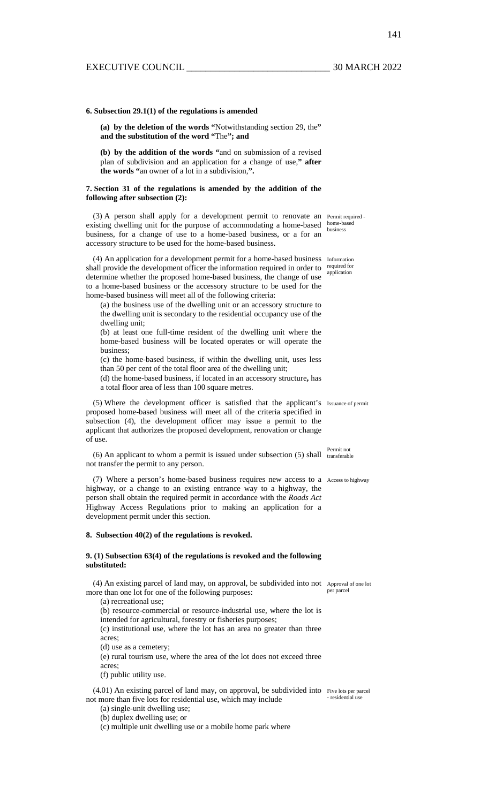#### **6. Subsection 29.1(1) of the regulations is amended**

**(a) by the deletion of the words "**Notwithstanding section 29, the**" and the substitution of the word "**The**"; and** 

**(b) by the addition of the words "**and on submission of a revised plan of subdivision and an application for a change of use,**" after the words "**an owner of a lot in a subdivision,**".** 

#### **7. Section 31 of the regulations is amended by the addition of the following after subsection (2):**

(3) A person shall apply for a development permit to renovate an Permit required existing dwelling unit for the purpose of accommodating a home-based business, for a change of use to a home-based business, or a for an accessory structure to be used for the home-based business.

(4) An application for a development permit for a home-based business Information shall provide the development officer the information required in order to determine whether the proposed home-based business, the change of use to a home-based business or the accessory structure to be used for the home-based business will meet all of the following criteria:

(a) the business use of the dwelling unit or an accessory structure to the dwelling unit is secondary to the residential occupancy use of the dwelling unit;

(b) at least one full-time resident of the dwelling unit where the home-based business will be located operates or will operate the business;

(c) the home-based business, if within the dwelling unit, uses less than 50 per cent of the total floor area of the dwelling unit;

(d) the home-based business, if located in an accessory structure**,** has a total floor area of less than 100 square metres.

(5) Where the development officer is satisfied that the applicant's Issuance of permit proposed home-based business will meet all of the criteria specified in subsection (4), the development officer may issue a permit to the applicant that authorizes the proposed development, renovation or change of use.

(6) An applicant to whom a permit is issued under subsection  $(5)$  shall transferable not transfer the permit to any person.

(7) Where a person's home-based business requires new access to a Access to highway highway, or a change to an existing entrance way to a highway, the person shall obtain the required permit in accordance with the *Roads Act*  Highway Access Regulations prior to making an application for a development permit under this section.

#### **8. Subsection 40(2) of the regulations is revoked.**

#### **9. (1) Subsection 63(4) of the regulations is revoked and the following substituted:**

(4) An existing parcel of land may, on approval, be subdivided into not Approval of one lot more than one lot for one of the following purposes:

(a) recreational use; (b) resource-commercial or resource-industrial use, where the lot is

intended for agricultural, forestry or fisheries purposes;

(c) institutional use, where the lot has an area no greater than three acres;

(d) use as a cemetery;

(e) rural tourism use, where the area of the lot does not exceed three acres;

(f) public utility use.

(4.01) An existing parcel of land may, on approval, be subdivided into Five lots per parcel not more than five lots for residential use, which may include - residential use

(a) single-unit dwelling use;

(b) duplex dwelling use; or

(c) multiple unit dwelling use or a mobile home park where

home-based business

required for application

per parcel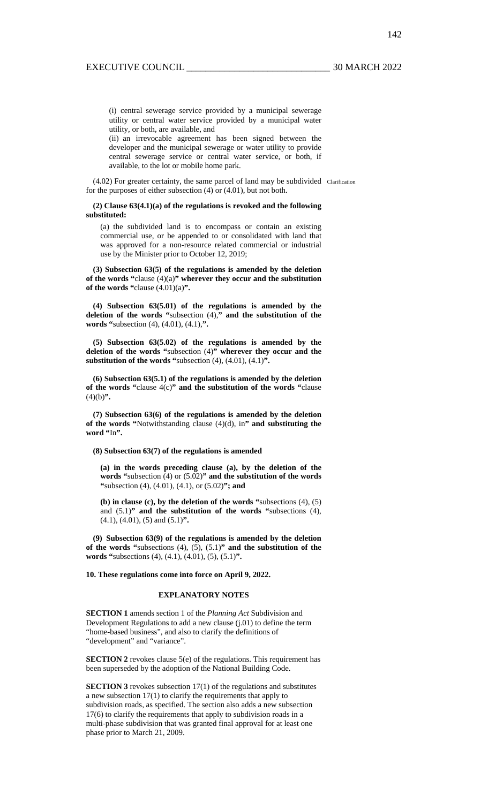(i) central sewerage service provided by a municipal sewerage utility or central water service provided by a municipal water utility, or both, are available, and

(ii) an irrevocable agreement has been signed between the developer and the municipal sewerage or water utility to provide central sewerage service or central water service, or both, if available, to the lot or mobile home park.

(4.02) For greater certainty, the same parcel of land may be subdivided Clarification for the purposes of either subsection (4) or (4.01), but not both.

**(2) Clause 63(4.1)(a) of the regulations is revoked and the following substituted:** 

(a) the subdivided land is to encompass or contain an existing commercial use, or be appended to or consolidated with land that was approved for a non-resource related commercial or industrial use by the Minister prior to October 12, 2019;

**(3) Subsection 63(5) of the regulations is amended by the deletion of the words "**clause (4)(a)**" wherever they occur and the substitution of the words "**clause (4.01)(a)**".** 

**(4) Subsection 63(5.01) of the regulations is amended by the deletion of the words "**subsection (4),**" and the substitution of the words "**subsection (4), (4.01), (4.1),**".** 

**(5) Subsection 63(5.02) of the regulations is amended by the deletion of the words "**subsection (4)**" wherever they occur and the substitution of the words "**subsection (4), (4.01), (4.1)**".** 

**(6) Subsection 63(5.1) of the regulations is amended by the deletion of the words "**clause 4(c)**" and the substitution of the words "**clause  $(4)(b)$ ".

**(7) Subsection 63(6) of the regulations is amended by the deletion of the words "**Notwithstanding clause (4)(d), in**" and substituting the word "**In**".** 

#### **(8) Subsection 63(7) of the regulations is amended**

**(a) in the words preceding clause (a), by the deletion of the words "**subsection (4) or (5.02)**" and the substitution of the words "**subsection (4), (4.01), (4.1), or (5.02)**"; and** 

**(b) in clause (c), by the deletion of the words "**subsections (4), (5) and (5.1)**" and the substitution of the words "**subsections (4), (4.1), (4.01), (5) and (5.1)**".** 

**(9) Subsection 63(9) of the regulations is amended by the deletion of the words "**subsections (4), (5), (5.1)**" and the substitution of the words "**subsections (4), (4.1), (4.01), (5), (5.1)**".** 

#### **10. These regulations come into force on April 9, 2022.**

#### **EXPLANATORY NOTES**

**SECTION 1** amends section 1 of the *Planning Act* Subdivision and Development Regulations to add a new clause (j.01) to define the term "home-based business", and also to clarify the definitions of "development" and "variance".

**SECTION 2** revokes clause 5(e) of the regulations. This requirement has been superseded by the adoption of the National Building Code.

**SECTION 3** revokes subsection 17(1) of the regulations and substitutes a new subsection 17(1) to clarify the requirements that apply to subdivision roads, as specified. The section also adds a new subsection 17(6) to clarify the requirements that apply to subdivision roads in a multi-phase subdivision that was granted final approval for at least one phase prior to March 21, 2009.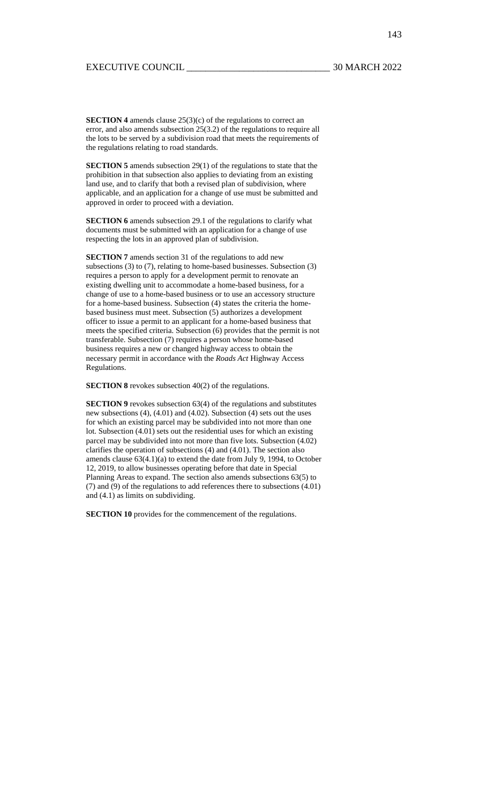143

**SECTION 4** amends clause 25(3)(c) of the regulations to correct an error, and also amends subsection 25(3.2) of the regulations to require all the lots to be served by a subdivision road that meets the requirements of the regulations relating to road standards.

**SECTION 5** amends subsection 29(1) of the regulations to state that the prohibition in that subsection also applies to deviating from an existing land use, and to clarify that both a revised plan of subdivision, where applicable, and an application for a change of use must be submitted and approved in order to proceed with a deviation.

**SECTION 6** amends subsection 29.1 of the regulations to clarify what documents must be submitted with an application for a change of use respecting the lots in an approved plan of subdivision.

**SECTION 7** amends section 31 of the regulations to add new subsections (3) to (7), relating to home-based businesses. Subsection (3) requires a person to apply for a development permit to renovate an existing dwelling unit to accommodate a home-based business, for a change of use to a home-based business or to use an accessory structure for a home-based business. Subsection (4) states the criteria the homebased business must meet. Subsection (5) authorizes a development officer to issue a permit to an applicant for a home-based business that meets the specified criteria. Subsection (6) provides that the permit is not transferable. Subsection (7) requires a person whose home-based business requires a new or changed highway access to obtain the necessary permit in accordance with the *Roads Act* Highway Access Regulations.

**SECTION 8** revokes subsection 40(2) of the regulations.

**SECTION 9** revokes subsection 63(4) of the regulations and substitutes new subsections (4), (4.01) and (4.02). Subsection (4) sets out the uses for which an existing parcel may be subdivided into not more than one lot. Subsection (4.01) sets out the residential uses for which an existing parcel may be subdivided into not more than five lots. Subsection (4.02) clarifies the operation of subsections (4) and (4.01). The section also amends clause 63(4.1)(a) to extend the date from July 9, 1994, to October 12, 2019, to allow businesses operating before that date in Special Planning Areas to expand. The section also amends subsections 63(5) to (7) and (9) of the regulations to add references there to subsections (4.01) and (4.1) as limits on subdividing.

**SECTION 10** provides for the commencement of the regulations.